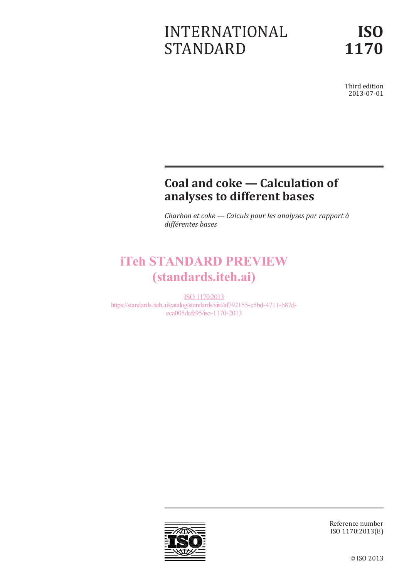# INTERNATIONAL STANDARD

Third edition 2013-07-01

# **Coal and coke — Calculation of analyses to different bases**

*Charbon et coke — Calculs pour les analyses par rapport à différentes bases*

# iTeh STANDARD PREVIEW (standards.iteh.ai)

ISO 1170:2013 https://standards.iteh.ai/catalog/standards/sist/af792155-c5bd-4711-b87deca005dafe95/iso-1170-2013



Reference number ISO 1170:2013(E)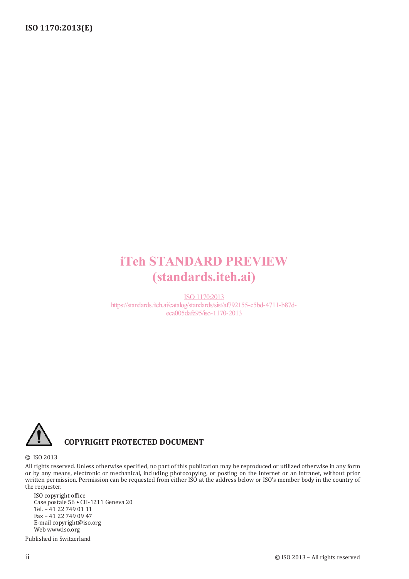# iTeh STANDARD PREVIEW (standards.iteh.ai)

ISO 1170:2013 https://standards.iteh.ai/catalog/standards/sist/af792155-c5bd-4711-b87deca005dafe95/iso-1170-2013



## **COPYRIGHT PROTECTED DOCUMENT**

© ISO 2013

All rights reserved. Unless otherwise specified, no part of this publication may be reproduced or utilized otherwise in any form or by any means, electronic or mechanical, including photocopying, or posting on the internet or an intranet, without prior written permission. Permission can be requested from either ISO at the address below or ISO's member body in the country of the requester.

ISO copyright office Case postale 56 • CH-1211 Geneva 20 Tel. + 41 22 749 01 11 Fax + 41 22 749 09 47 E-mail copyright@iso.org Web www.iso.org

Published in Switzerland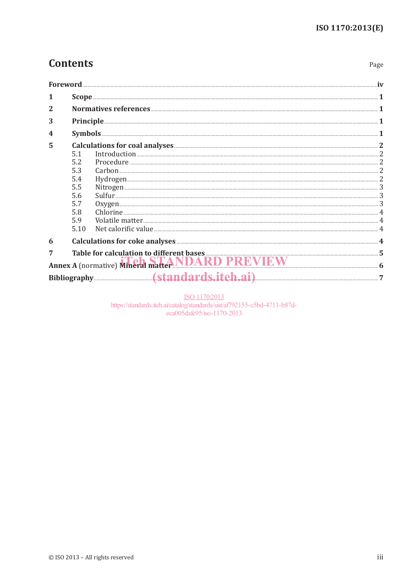Page

# **Contents**

| Foreword.                                                                                                      |                                                      |                                                                                                                                                                                                                                                                                            |  |  |  |  |  |
|----------------------------------------------------------------------------------------------------------------|------------------------------------------------------|--------------------------------------------------------------------------------------------------------------------------------------------------------------------------------------------------------------------------------------------------------------------------------------------|--|--|--|--|--|
| 1                                                                                                              |                                                      |                                                                                                                                                                                                                                                                                            |  |  |  |  |  |
| $\overline{2}$                                                                                                 |                                                      |                                                                                                                                                                                                                                                                                            |  |  |  |  |  |
| 3                                                                                                              |                                                      |                                                                                                                                                                                                                                                                                            |  |  |  |  |  |
|                                                                                                                |                                                      |                                                                                                                                                                                                                                                                                            |  |  |  |  |  |
| 5                                                                                                              | 5.1<br>5.2<br>5.3<br>5.4<br>5.5<br>5.6<br>5.8<br>5.9 | Calculations for coal analyses <b>Executive Calculations</b> 2                                                                                                                                                                                                                             |  |  |  |  |  |
|                                                                                                                | 5.10                                                 |                                                                                                                                                                                                                                                                                            |  |  |  |  |  |
| 6                                                                                                              |                                                      |                                                                                                                                                                                                                                                                                            |  |  |  |  |  |
| 7                                                                                                              |                                                      | Table for calculation to different bases <b>was also consumed as a set of the set of the set of the set of the set of the set of the set of the set of the set of the set of the set of the set of the set of the set of the set</b><br>Annex A (normative) Mineral matter NDARD PREVIEW 6 |  |  |  |  |  |
| Bibliography 27 22 22 23 23 24 25 26 27 27 28 29 20 21 22 23 24 25 26 27 27 28 29 20 21 22 23 24 25 26 27 27 2 |                                                      |                                                                                                                                                                                                                                                                                            |  |  |  |  |  |

ISO 1170:2013<br>https://standards.iteh.ai/catalog/standards/sist/af792155-c5bd-4711-b87deca005dafe95/iso-1170-2013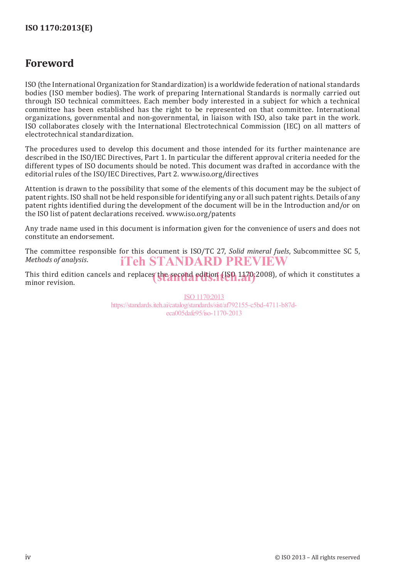## **Foreword**

ISO (the International Organization for Standardization) is a worldwide federation of national standards bodies (ISO member bodies). The work of preparing International Standards is normally carried out through ISO technical committees. Each member body interested in a subject for which a technical committee has been established has the right to be represented on that committee. International organizations, governmental and non-governmental, in liaison with ISO, also take part in the work. ISO collaborates closely with the International Electrotechnical Commission (IEC) on all matters of electrotechnical standardization.

The procedures used to develop this document and those intended for its further maintenance are described in the ISO/IEC Directives, Part 1. In particular the different approval criteria needed for the different types of ISO documents should be noted. This document was drafted in accordance with the editorial rules of the ISO/IEC Directives, Part 2. www.iso.org/directives

Attention is drawn to the possibility that some of the elements of this document may be the subject of patent rights. ISO shall not be held responsible for identifying any or all such patent rights. Details of any patent rights identified during the development of the document will be in the Introduction and/or on the ISO list of patent declarations received. www.iso.org/patents

Any trade name used in this document is information given for the convenience of users and does not constitute an endorsement.

The committee responsible for this document is ISO/TC 27, *Solid mineral fuels*, Subcommittee SC 5, *Methods of analysis*. iTeh STANDARD PREVIEW

This third edition cancels and replaces the second edition (ISO 1170;2008), of which it constitutes a minor revision. minor revision.

> ISO 1170:2013 https://standards.iteh.ai/catalog/standards/sist/af792155-c5bd-4711-b87deca005dafe95/iso-1170-2013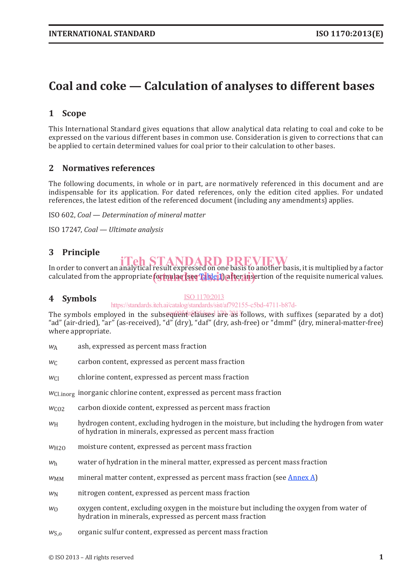# **Coal and coke — Calculation of analyses to different bases**

## **1 Scope**

This International Standard gives equations that allow analytical data relating to coal and coke to be expressed on the various different bases in common use. Consideration is given to corrections that can be applied to certain determined values for coal prior to their calculation to other bases.

### **2 Normatives references**

The following documents, in whole or in part, are normatively referenced in this document and are indispensable for its application. For dated references, only the edition cited applies. For undated references, the latest edition of the referenced document (including any amendments) applies.

ISO 602, *Coal — Determination of mineral matter*

ISO 17247, *Coal — Ultimate analysis*

### **3 Principle**

## iTeh STANDARD PREVIEW

In order to convert an analytical result expressed on one basis to another basis, it is multiplied by a factor calculated from the appropriate **formulae (see Table 1) after ins**ertion of the requisite numerical values.

#### **4 Symbols**

#### ISO 1170:2013

#### https://standards.iteh.ai/catalog/standards/sist/af792155-c5bd-4711-b87d-

The symbols employed in the subsequent clauses are 28 follows, with suffixes (separated by a dot) "ad" (air-dried), "ar" (as-received), "d" (dry), "daf" (dry, ash-free) or "dmmf" (dry, mineral-matter-free) where appropriate.

- *w*<sup>A</sup> ash, expressed as percent mass fraction
- *w*<sub>C</sub> carbon content, expressed as percent mass fraction

*w*<sub>Cl</sub> chlorine content, expressed as percent mass fraction

*w*Cl.inorg inorganic chlorine content, expressed as percent mass fraction

- *w*<sub>CO2</sub> carbon dioxide content, expressed as percent mass fraction
- *w*H hydrogen content, excluding hydrogen in the moisture, but including the hydrogen from water of hydration in minerals, expressed as percent mass fraction
- *w*H2O moisture content, expressed as percent mass fraction
- *w*<sup>h</sup> water of hydration in the mineral matter, expressed as percent mass fraction
- *w*<sub>MM</sub> mineral matter content, expressed as percent mass fraction (see Annex A)
- *w*<sub>N</sub> nitrogen content, expressed as percent mass fraction
- *w*<sup>O</sup> oxygen content, excluding oxygen in the moisture but including the oxygen from water of hydration in minerals, expressed as percent mass fraction
- *w*S,o organic sulfur content, expressed as percent mass fraction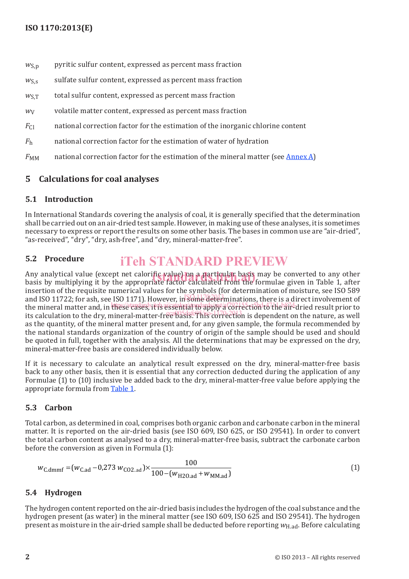- $w_{S,p}$  pyritic sulfur content, expressed as percent mass fraction
- *w*S,s sulfate sulfur content, expressed as percent mass fraction
- *w*S,T total sulfur content, expressed as percent mass fraction
- *w*<sub>V</sub> volatile matter content, expressed as percent mass fraction
- *F*<sub>Cl</sub> national correction factor for the estimation of the inorganic chlorine content
- *F*<sup>h</sup> national correction factor for the estimation of water of hydration
- $F_{MM}$  national correction factor for the estimation of the mineral matter (see Annex A)

## **5 Calculations for coal analyses**

#### **5.1 Introduction**

In International Standards covering the analysis of coal, it is generally specified that the determination shall be carried out on an air-dried test sample. However, in making use of these analyses, it is sometimes necessary to express or report the results on some other basis. The bases in common use are "air-dried", "as-received", "dry", "dry, ash-free", and "dry, mineral-matter-free".

#### **5.2 Procedure** iTeh STANDARD PREVIEW

Any analytical value (except net calorific value) on a particular basis may be converted to any other<br>basis by multiplying it by the appropriate factor calculated from the formulae given in Table 1. after basis by multiplying it by the appropriate factor calculated from the formulae given in Table 1, after insertion of the requisite numerical values for the symbols (for determination of moisture, see ISO 589 and ISO 11722; for ash, see ISO 1171). However, in some determinations, there is a direct involvement of the mineral matter and, in these cases, it is essential to apply a correction to the air-dried result prior to its calculation to the dry, mineral-matter-free basis. This correction is dependent on the nature, as well as the quantity, of the mineral matter present and, for any given sample, the formula recommended by the national standards organization of the country of origin of the sample should be used and should be quoted in full, together with the analysis. All the determinations that may be expressed on the dry, mineral-matter-free basis are considered individually below.

If it is necessary to calculate an analytical result expressed on the dry, mineral-matter-free basis back to any other basis, then it is essential that any correction deducted during the application of any Formulae (1) to (10) inclusive be added back to the dry, mineral-matter-free value before applying the appropriate formula from Table 1.

### **5.3 Carbon**

Total carbon, as determined in coal, comprises both organic carbon and carbonate carbon in the mineral matter. It is reported on the air-dried basis (see ISO 609, ISO 625, or ISO 29541). In order to convert the total carbon content as analysed to a dry, mineral-matter-free basis, subtract the carbonate carbon before the conversion as given in Formula (1):

$$
w_{\text{C,dmmf}} = (w_{\text{C,ad}} - 0.273 w_{\text{CO2,ad}}) \times \frac{100}{100 - (w_{\text{H2O,ad}} + w_{\text{MM,ad}})}\tag{1}
$$

### **5.4 Hydrogen**

The hydrogen content reported on the air-dried basis includes the hydrogen of the coal substance and the hydrogen present (as water) in the mineral matter (see ISO 609, ISO 625 and ISO 29541). The hydrogen present as moisture in the air-dried sample shall be deducted before reporting *w*H.ad. Before calculating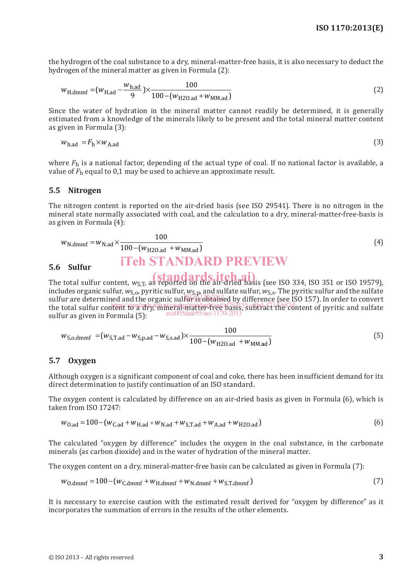the hydrogen of the coal substance to a dry, mineral-matter-free basis, it is also necessary to deduct the hydrogen of the mineral matter as given in Formula (2):

$$
w_{\text{H.dmmf}} = (w_{\text{H.add}} - \frac{w_{\text{h.add}}}{9}) \times \frac{100}{100 - (w_{\text{H2O.add}} + w_{\text{MM.add}})}
$$
(2)

Since the water of hydration in the mineral matter cannot readily be determined, it is generally estimated from a knowledge of the minerals likely to be present and the total mineral matter content as given in Formula (3):

$$
w_{h, \text{ad}} = F_h \times w_{A, \text{ad}} \tag{3}
$$

where  $F_h$  is a national factor, depending of the actual type of coal. If no national factor is available, a value of *F*h equal to 0,1 may be used to achieve an approximate result.

#### **5.5 Nitrogen**

The nitrogen content is reported on the air-dried basis (see ISO 29541). There is no nitrogen in the mineral state normally associated with coal, and the calculation to a dry, mineral-matter-free-basis is as given in Formula (4):

$$
w_{N.dmmf} = w_{N.add} \times \frac{100}{100 - (w_{H20.add} + w_{MM.add})}
$$
\n
$$
\text{i} \quad \text{i} \quad \text{ii} \quad \text{ii} \quad \text{ii} \quad \text{iii} \quad \text{iii} \quad \text{iv}
$$
\n
$$
\text{ii} \quad \text{iii} \quad \text{iv}
$$
\n
$$
\text{iv}
$$
\n
$$
\text{iv}
$$
\n
$$
\text{iv}
$$
\n
$$
\text{iv}
$$
\n
$$
\text{v}
$$
\n
$$
\text{v}
$$
\n
$$
\text{v}
$$
\n
$$
\text{v}
$$
\n
$$
\text{v}
$$
\n
$$
\text{v}
$$
\n
$$
\text{v}
$$
\n
$$
\text{v}
$$
\n
$$
\text{v}
$$
\n
$$
\text{v}
$$
\n
$$
\text{v}
$$
\n
$$
\text{v}
$$
\n
$$
\text{v}
$$
\n
$$
\text{v}
$$
\n
$$
\text{v}
$$
\n
$$
\text{v}
$$
\n
$$
\text{v}
$$
\n
$$
\text{v}
$$
\n
$$
\text{v}
$$
\n
$$
\text{v}
$$
\n
$$
\text{v}
$$
\n
$$
\text{v}
$$
\n
$$
\text{v}
$$
\n
$$
\text{v}
$$
\n
$$
\text{v}
$$
\n
$$
\text{v}
$$
\n
$$
\text{v}
$$
\n
$$
\text{v}
$$
\n
$$
\text{v}
$$
\n
$$
\text{v}
$$
\n
$$
\text{v}
$$
\n
$$
\text{v}
$$
\n
$$
\text{v}
$$
\n
$$
\text{v}
$$
\n
$$
\text{v}
$$
\n
$$
\text{v}
$$
\n
$$
\text{v}
$$
\n
$$
\text{v}
$$
\n
$$
\text{v}
$$
\n
$$
\text{v}
$$
\n
$$
\text{v}
$$
\n
$$
\text{v}
$$
\n
$$
\text{v}
$$
\n
$$
\text{v}
$$
\n

#### **5.6 Sulfur**

The total sulfur content,  $w_{\text{S,T}}$ , as reported on the air-dried basis (see ISO 334, ISO 351 or ISO 19579), includes organic sulfur,  $w_{S,0}$ , pyritic sulfur,  $w_{S,0}$ , and sulfate sulfur,  $w_{S,S}$ . The pyritic sulfur and the sulfate sulfur are determined and the organic sulfur is obtained by difference (see ISO 157). In order to convert sulfur are determined and the organic sulfur is obtained by difference (see ISO 157). In order to convert the total sulfur content to a dry, mineral-matter-free basis, subtract the content of pyritic and sulfate sulfur as given in Formula (5): 5/iso-1170-20

$$
w_{S, \text{o.dmmf}} = (w_{S, \text{T.ad}} - w_{S, \text{p.ad}} - w_{S, \text{s.ad}}) \times \frac{100}{100 - (w_{\text{H2O.ad}} + w_{\text{MM.ad}})}
$$
(5)

#### **5.7 Oxygen**

Although oxygen is a significant component of coal and coke, there has been insufficient demand for its direct determination to justify continuation of an ISO standard.

The oxygen content is calculated by difference on an air-dried basis as given in Formula (6), which is taken from ISO 17247:

$$
w_{0,ad} = 100 - (w_{C,ad} + w_{H,ad} + w_{N,ad} + w_{S,T,ad} + w_{A,ad} + w_{H20,ad})
$$
\n(6)

The calculated "oxygen by difference" includes the oxygen in the coal substance, in the carbonate minerals (as carbon dioxide) and in the water of hydration of the mineral matter.

The oxygen content on a dry, mineral-matter-free basis can be calculated as given in Formula (7):

$$
w_{0. \text{dmmf}} = 100 - (w_{C. \text{dmmf}} + w_{H. \text{dmmf}} + w_{N. \text{dmmf}} + w_{S. \text{T.} \text{dmmf}})
$$
\n
$$
(7)
$$

It is necessary to exercise caution with the estimated result derived for "oxygen by difference" as it incorporates the summation of errors in the results of the other elements.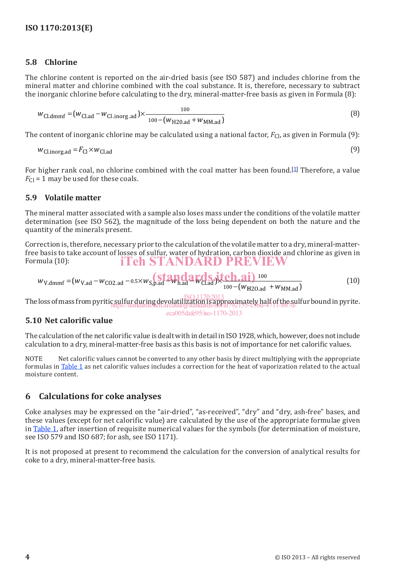#### **5.8 Chlorine**

The chlorine content is reported on the air-dried basis (see ISO 587) and includes chlorine from the mineral matter and chlorine combined with the coal substance. It is, therefore, necessary to subtract the inorganic chlorine before calculating to the dry, mineral-matter-free basis as given in Formula (8):

$$
w_{\text{Cl.dmmf}} = (w_{\text{Cl.ad}} - w_{\text{Cl.inorg.ad}}) \times \frac{100}{100 - (w_{\text{H20.ad}} + w_{\text{MM.ad}})}\tag{8}
$$

The content of inorganic chlorine may be calculated using a national factor, *F<sub>Cl</sub>*, as given in Formula (9):

$$
w_{\text{Cl.inorg.add}} = F_{\text{Cl}} \times w_{\text{Cl.ad}}
$$
\n<sup>(9)</sup>

For higher rank coal, no chlorine combined with the coal matter has been found.<sup>[1]</sup> Therefore, a value  $F_C$  = 1 may be used for these coals.

#### **5.9 Volatile matter**

The mineral matter associated with a sample also loses mass under the conditions of the volatile matter determination (see ISO 562), the magnitude of the loss being dependent on both the nature and the quantity of the minerals present.

Correction is, therefore, necessary prior to the calculation of the volatile matter to a dry, mineral-matterfree basis to take account of losses of sulfur, water of hydration, carbon dioxide and chlorine as given in Formula (10): iTeh STANDARD PREVIEW

$$
w_{V.dmmf} = (w_{V.ad} - w_{CO2.ad} - 0.5 \times w_{S,p.ad}) \left( \frac{St20}{W_{h.ad}} \right) \left( \frac{St20}{W_{C1.ad}} \right) \left( \frac{St20}{100} \right) \left( \frac{W_{H20.ad} + w_{MM.ad}}{100} \right) \tag{10}
$$

The loss of mass from pyritic sulfur during devolatilization is approximately half of the sulfur bound in pyrite. ISO 1170:2013 https://standards.iteh.ai/catalog/standards/sist/af792155-c5bd-4711-b87deca005dafe95/iso-1170-2013

#### **5.10 Net calorific value**

The calculation of the net calorific value is dealt with in detail in ISO1928, which, however, does not include calculation to a dry, mineral-matter-free basis as this basis is not of importance for net calorific values.

NOTE Net calorific values cannot be converted to any other basis by direct multiplying with the appropriate formulas in Table 1 as net calorific values includes a correction for the heat of vaporization related to the actual moisture content.

### **6 Calculations for coke analyses**

Coke analyses may be expressed on the "air-dried", "as-received", "dry" and "dry, ash-free" bases, and these values (except for net calorific value) are calculated by the use of the appropriate formulae given in Table 1, after insertion of requisite numerical values for the symbols (for determination of moisture, see ISO 579 and ISO 687; for ash, see ISO 1171).

It is not proposed at present to recommend the calculation for the conversion of analytical results for coke to a dry, mineral-matter-free basis.